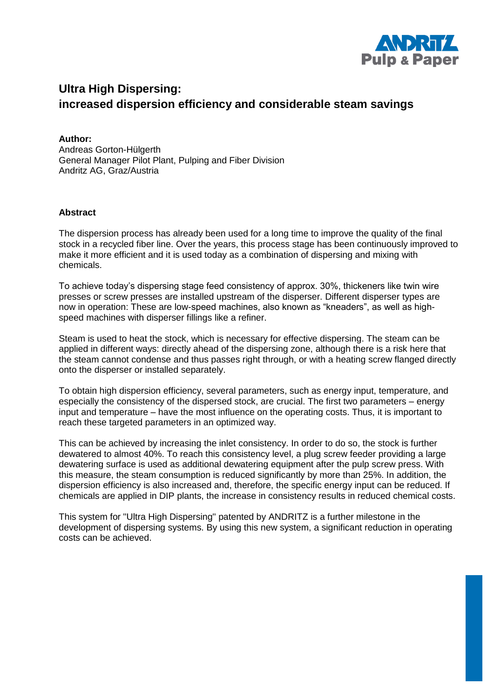

# **Ultra High Dispersing: increased dispersion efficiency and considerable steam savings**

**Author:** Andreas Gorton-Hülgerth General Manager Pilot Plant, Pulping and Fiber Division Andritz AG, Graz/Austria

### **Abstract**

The dispersion process has already been used for a long time to improve the quality of the final stock in a recycled fiber line. Over the years, this process stage has been continuously improved to make it more efficient and it is used today as a combination of dispersing and mixing with chemicals.

To achieve today's dispersing stage feed consistency of approx. 30%, thickeners like twin wire presses or screw presses are installed upstream of the disperser. Different disperser types are now in operation: These are low-speed machines, also known as "kneaders", as well as highspeed machines with disperser fillings like a refiner.

Steam is used to heat the stock, which is necessary for effective dispersing. The steam can be applied in different ways: directly ahead of the dispersing zone, although there is a risk here that the steam cannot condense and thus passes right through, or with a heating screw flanged directly onto the disperser or installed separately.

To obtain high dispersion efficiency, several parameters, such as energy input, temperature, and especially the consistency of the dispersed stock, are crucial. The first two parameters – energy input and temperature – have the most influence on the operating costs. Thus, it is important to reach these targeted parameters in an optimized way.

This can be achieved by increasing the inlet consistency. In order to do so, the stock is further dewatered to almost 40%. To reach this consistency level, a plug screw feeder providing a large dewatering surface is used as additional dewatering equipment after the pulp screw press. With this measure, the steam consumption is reduced significantly by more than 25%. In addition, the dispersion efficiency is also increased and, therefore, the specific energy input can be reduced. If chemicals are applied in DIP plants, the increase in consistency results in reduced chemical costs.

This system for "Ultra High Dispersing" patented by ANDRITZ is a further milestone in the development of dispersing systems. By using this new system, a significant reduction in operating costs can be achieved.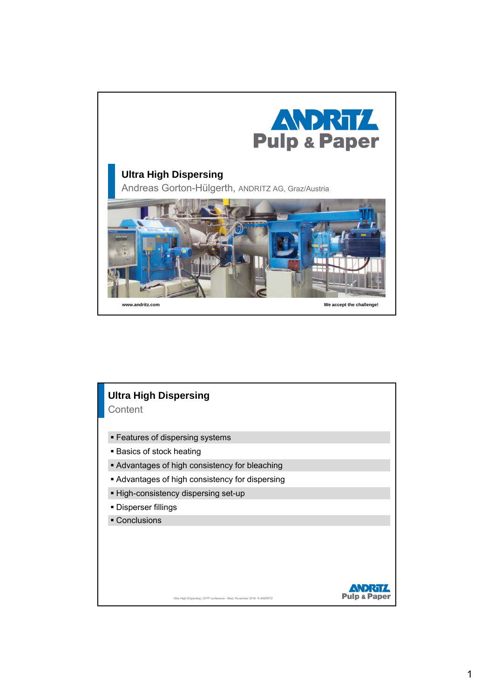

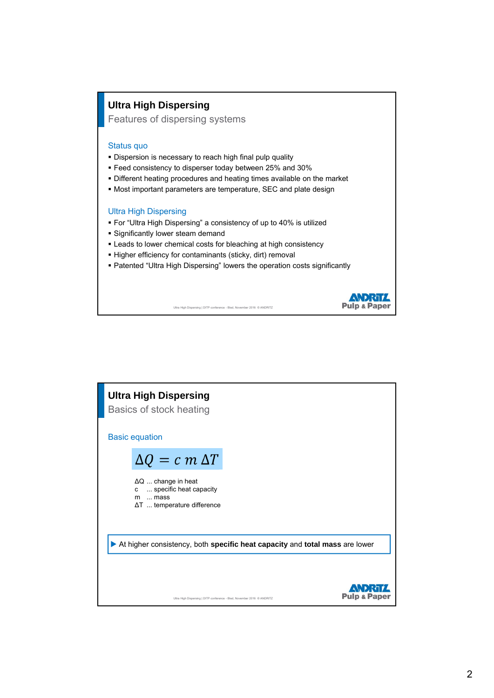## **Ultra High Dispersing**

Features of dispersing systems

#### Status quo

- **Dispersion is necessary to reach high final pulp quality**
- Feed consistency to disperser today between 25% and 30%
- Different heating procedures and heating times available on the market
- Most important parameters are temperature, SEC and plate design

#### Ultra High Dispersing

- For "Ultra High Dispersing" a consistency of up to 40% is utilized
- **Significantly lower steam demand**
- Leads to lower chemical costs for bleaching at high consistency
- Higher efficiency for contaminants (sticky, dirt) removal
- Patented "Ultra High Dispersing" lowers the operation costs significantly

**ANDRITZ Pulp & Paper** 

Ultra High Dispersing | DITP conference - Bled, November 2016 © ANDRITZ

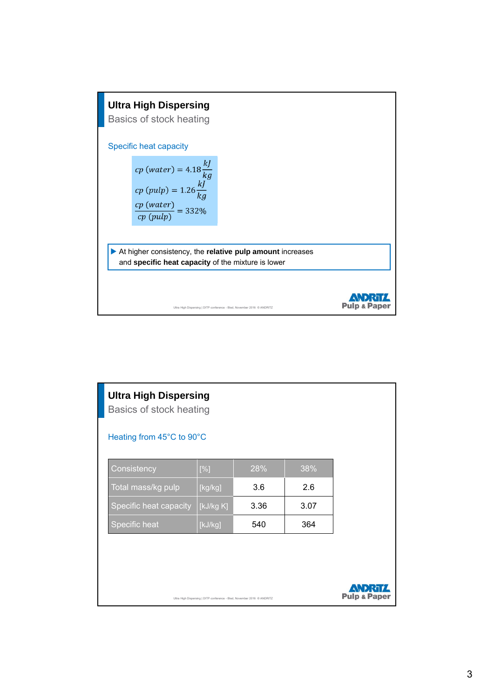

| <b>Ultra High Dispersing</b><br>Basics of stock heating<br>Heating from 45°C to 90°C |           |      |      |                         |
|--------------------------------------------------------------------------------------|-----------|------|------|-------------------------|
| Consistency                                                                          | [%]       | 28%  | 38%  |                         |
| Total mass/kg pulp                                                                   | [kg/kg]   | 3.6  | 2.6  |                         |
| Specific heat capacity                                                               | [kJ/kg K] | 3.36 | 3.07 |                         |
| Specific heat                                                                        | [kJ/kg]   | 540  | 364  |                         |
|                                                                                      |           |      |      |                         |
|                                                                                      |           |      |      |                         |
| Ultra High Dispersing   DITP conference - Bled, November 2016 C ANDRITZ              |           |      |      | <b>Pulp &amp; Paper</b> |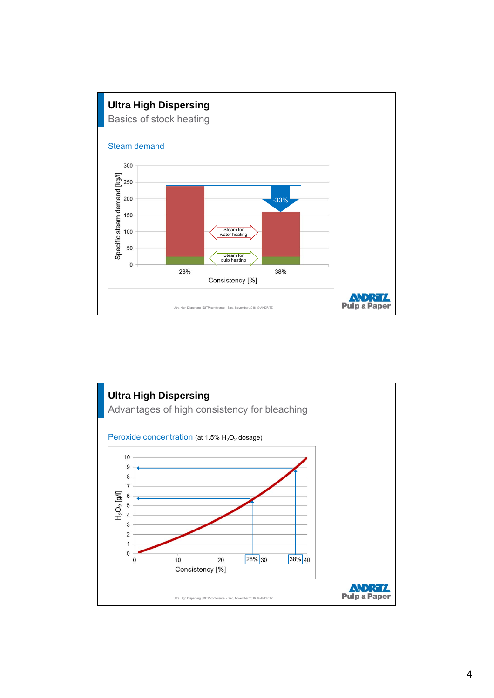

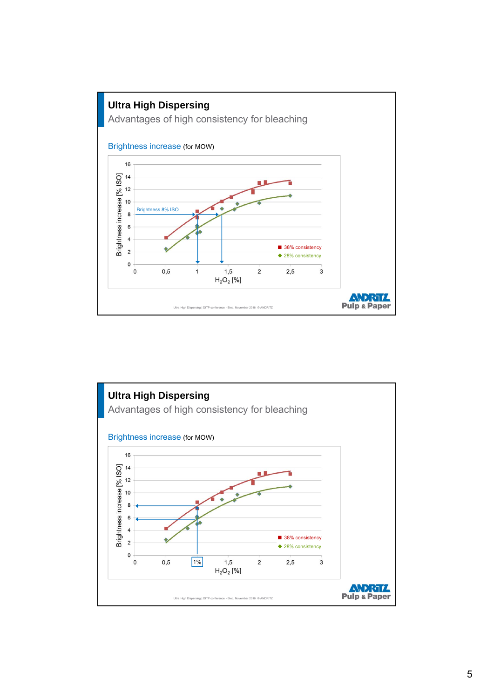

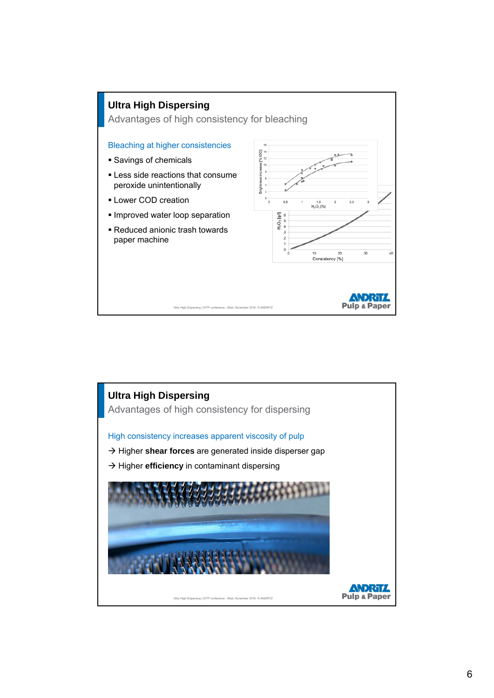

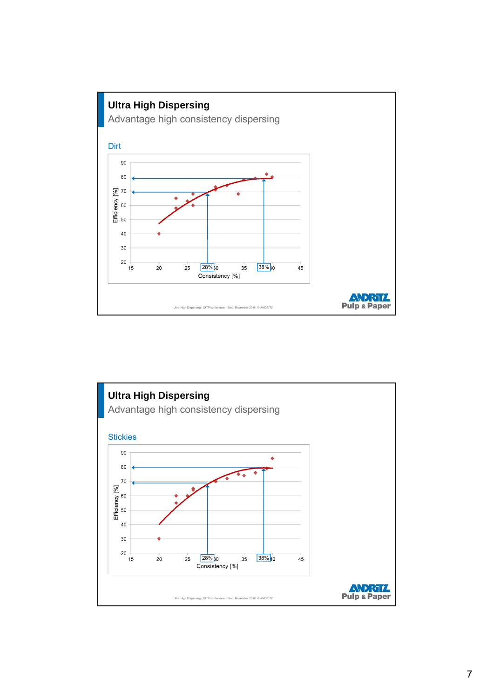

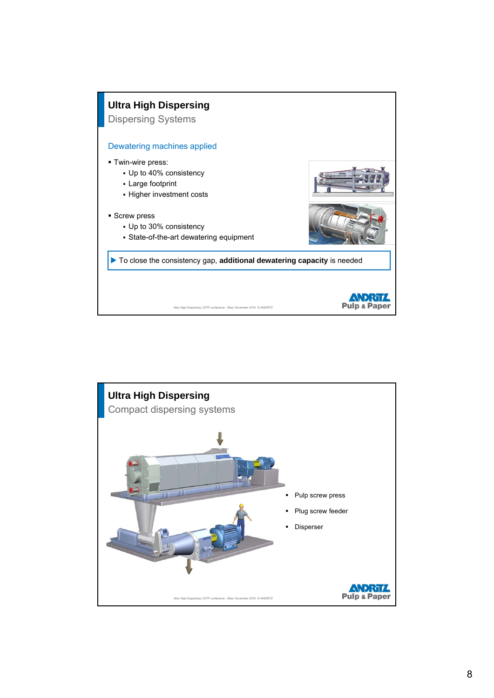

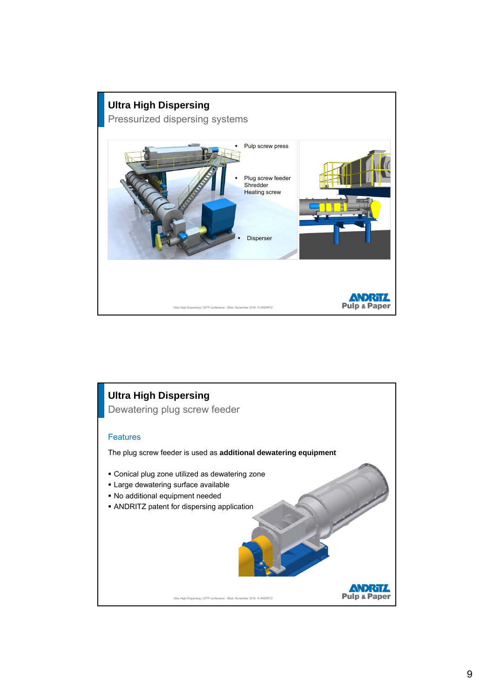

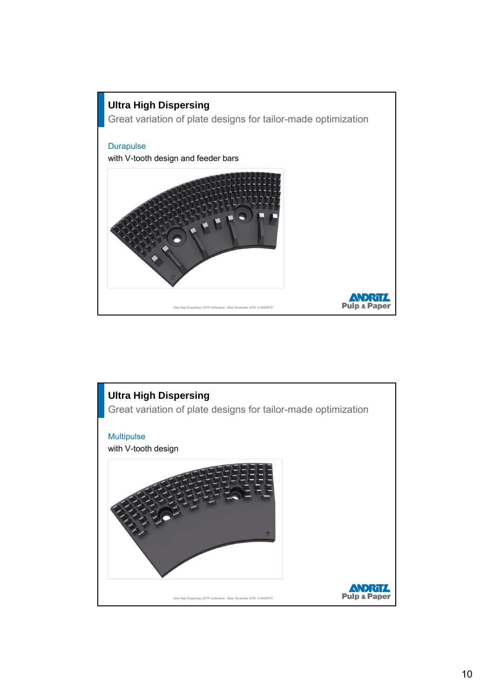

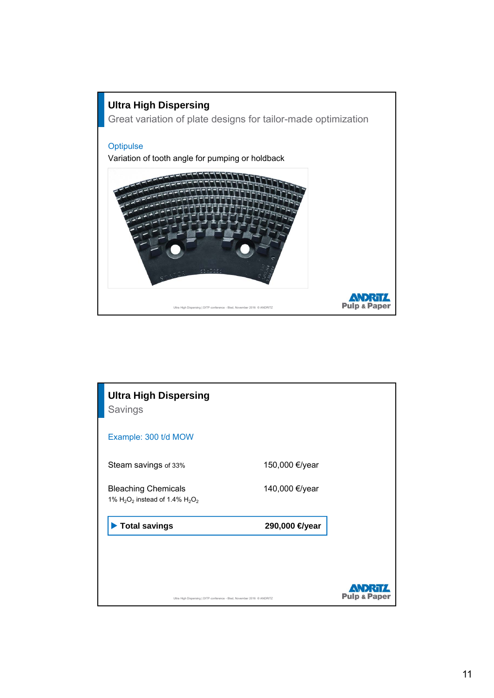